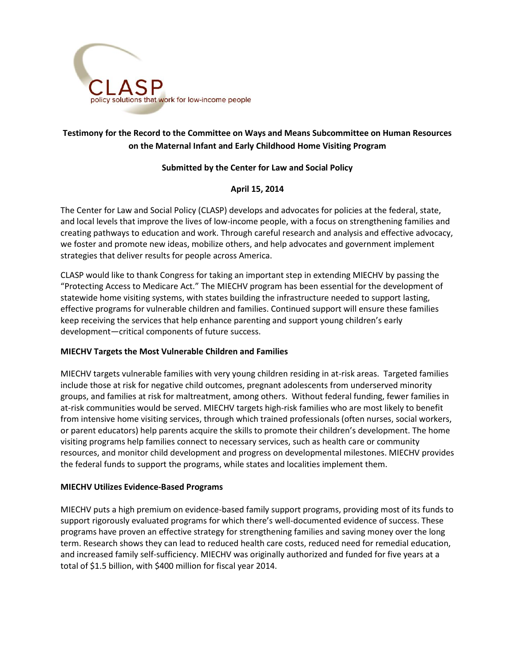

# **Testimony for the Record to the Committee on Ways and Means Subcommittee on Human Resources on the Maternal Infant and Early Childhood Home Visiting Program**

# **Submitted by the Center for Law and Social Policy**

# **April 15, 2014**

The Center for Law and Social Policy (CLASP) develops and advocates for policies at the federal, state, and local levels that improve the lives of low-income people, with a focus on strengthening families and creating pathways to education and work. Through careful research and analysis and effective advocacy, we foster and promote new ideas, mobilize others, and help advocates and government implement strategies that deliver results for people across America.

CLASP would like to thank Congress for taking an important step in extending MIECHV by passing the "Protecting Access to Medicare Act." The MIECHV program has been essential for the development of statewide home visiting systems, with states building the infrastructure needed to support lasting, effective programs for vulnerable children and families. Continued support will ensure these families keep receiving the services that help enhance parenting and support young children's early development—critical components of future success.

#### **MIECHV Targets the Most Vulnerable Children and Families**

MIECHV targets vulnerable families with very young children residing in at-risk areas. Targeted families include those at risk for negative child outcomes, pregnant adolescents from underserved minority groups, and families at risk for maltreatment, among others. Without federal funding, fewer families in at-risk communities would be served. MIECHV targets high-risk families who are most likely to benefit from intensive home visiting services, through which trained professionals (often nurses, social workers, or parent educators) help parents acquire the skills to promote their children's development. The home visiting programs help families connect to necessary services, such as health care or community resources, and monitor child development and progress on developmental milestones. MIECHV provides the federal funds to support the programs, while states and localities implement them.

#### **MIECHV Utilizes Evidence-Based Programs**

MIECHV puts a high premium on evidence-based family support programs, providing most of its funds to support rigorously evaluated programs for which there's well-documented evidence of success. These programs have proven an effective strategy for strengthening families and saving money over the long term. Research shows they can lead to reduced health care costs, reduced need for remedial education, and increased family self-sufficiency. MIECHV was originally authorized and funded for five years at a total of \$1.5 billion, with \$400 million for fiscal year 2014.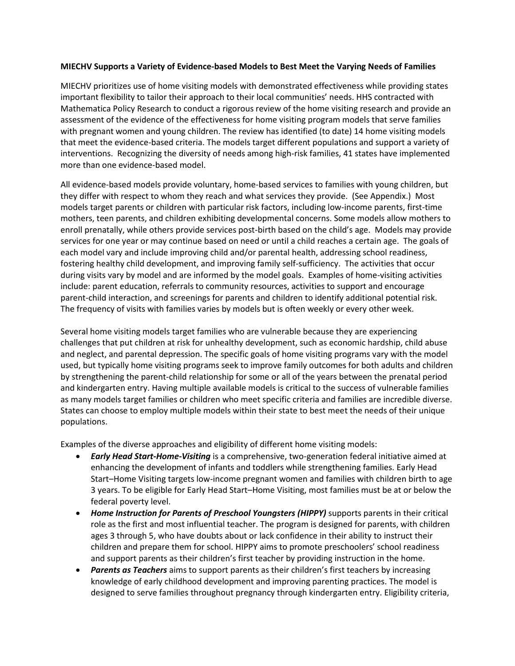#### **MIECHV Supports a Variety of Evidence-based Models to Best Meet the Varying Needs of Families**

MIECHV prioritizes use of home visiting models with demonstrated effectiveness while providing states important flexibility to tailor their approach to their local communities' needs. HHS contracted with Mathematica Policy Research to conduct a rigorous review of the home visiting research and provide an assessment of the evidence of the effectiveness for home visiting program models that serve families with pregnant women and young children. The review has identified (to date) 14 home visiting models that meet the evidence-based criteria. The models target different populations and support a variety of interventions. Recognizing the diversity of needs among high-risk families, 41 states have implemented more than one evidence-based model.

All evidence-based models provide voluntary, home-based services to families with young children, but they differ with respect to whom they reach and what services they provide. (See Appendix.) Most models target parents or children with particular risk factors, including low-income parents, first-time mothers, teen parents, and children exhibiting developmental concerns. Some models allow mothers to enroll prenatally, while others provide services post-birth based on the child's age. Models may provide services for one year or may continue based on need or until a child reaches a certain age. The goals of each model vary and include improving child and/or parental health, addressing school readiness, fostering healthy child development, and improving family self-sufficiency. The activities that occur during visits vary by model and are informed by the model goals. Examples of home-visiting activities include: parent education, referrals to community resources, activities to support and encourage parent-child interaction, and screenings for parents and children to identify additional potential risk. The frequency of visits with families varies by models but is often weekly or every other week.

Several home visiting models target families who are vulnerable because they are experiencing challenges that put children at risk for unhealthy development, such as economic hardship, child abuse and neglect, and parental depression. The specific goals of home visiting programs vary with the model used, but typically home visiting programs seek to improve family outcomes for both adults and children by strengthening the parent-child relationship for some or all of the years between the prenatal period and kindergarten entry. Having multiple available models is critical to the success of vulnerable families as many models target families or children who meet specific criteria and families are incredible diverse. States can choose to employ multiple models within their state to best meet the needs of their unique populations.

Examples of the diverse approaches and eligibility of different home visiting models:

- *Early Head Start-Home-Visiting* is a comprehensive, two-generation federal initiative aimed at enhancing the development of infants and toddlers while strengthening families. Early Head Start–Home Visiting targets low-income pregnant women and families with children birth to age 3 years. To be eligible for Early Head Start–Home Visiting, most families must be at or below the federal poverty level.
- *Home Instruction for Parents of Preschool Youngsters (HIPPY)* supports parents in their critical role as the first and most influential teacher. The program is designed for parents, with children ages 3 through 5, who have doubts about or lack confidence in their ability to instruct their children and prepare them for school. HIPPY aims to promote preschoolers' school readiness and support parents as their children's first teacher by providing instruction in the home.
- *Parents as Teachers* aims to support parents as their children's first teachers by increasing knowledge of early childhood development and improving parenting practices. The model is designed to serve families throughout pregnancy through kindergarten entry. Eligibility criteria,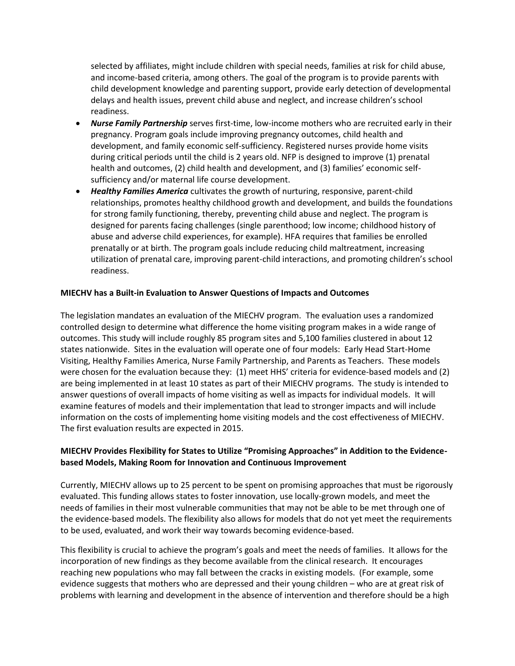selected by affiliates, might include children with special needs, families at risk for child abuse, and income-based criteria, among others. The goal of the program is to provide parents with child development knowledge and parenting support, provide early detection of developmental delays and health issues, prevent child abuse and neglect, and increase children's school readiness.

- *Nurse Family Partnership* serves first-time, low-income mothers who are recruited early in their pregnancy. Program goals include improving pregnancy outcomes, child health and development, and family economic self-sufficiency. Registered nurses provide home visits during critical periods until the child is 2 years old. NFP is designed to improve (1) prenatal health and outcomes, (2) child health and development, and (3) families' economic selfsufficiency and/or maternal life course development.
- *Healthy Families America* cultivates the growth of nurturing, responsive, parent-child relationships, promotes healthy childhood growth and development, and builds the foundations for strong family functioning, thereby, preventing child abuse and neglect. The program is designed for parents facing challenges (single parenthood; low income; childhood history of abuse and adverse child experiences, for example). HFA requires that families be enrolled prenatally or at birth. The program goals include reducing child maltreatment, increasing utilization of prenatal care, improving parent-child interactions, and promoting children's school readiness.

#### **MIECHV has a Built-in Evaluation to Answer Questions of Impacts and Outcomes**

The legislation mandates an evaluation of the MIECHV program. The evaluation uses a randomized controlled design to determine what difference the home visiting program makes in a wide range of outcomes. This study will include roughly 85 program sites and 5,100 families clustered in about 12 states nationwide. Sites in the evaluation will operate one of four models: Early Head Start-Home Visiting, Healthy Families America, Nurse Family Partnership, and Parents as Teachers. These models were chosen for the evaluation because they: (1) meet HHS' criteria for evidence-based models and (2) are being implemented in at least 10 states as part of their MIECHV programs. The study is intended to answer questions of overall impacts of home visiting as well as impacts for individual models. It will examine features of models and their implementation that lead to stronger impacts and will include information on the costs of implementing home visiting models and the cost effectiveness of MIECHV. The first evaluation results are expected in 2015.

# **MIECHV Provides Flexibility for States to Utilize "Promising Approaches" in Addition to the Evidencebased Models, Making Room for Innovation and Continuous Improvement**

Currently, MIECHV allows up to 25 percent to be spent on promising approaches that must be rigorously evaluated. This funding allows states to foster innovation, use locally-grown models, and meet the needs of families in their most vulnerable communities that may not be able to be met through one of the evidence-based models. The flexibility also allows for models that do not yet meet the requirements to be used, evaluated, and work their way towards becoming evidence-based.

This flexibility is crucial to achieve the program's goals and meet the needs of families. It allows for the incorporation of new findings as they become available from the clinical research. It encourages reaching new populations who may fall between the cracks in existing models. (For example, some evidence suggests that mothers who are depressed and their young children – who are at great risk of problems with learning and development in the absence of intervention and therefore should be a high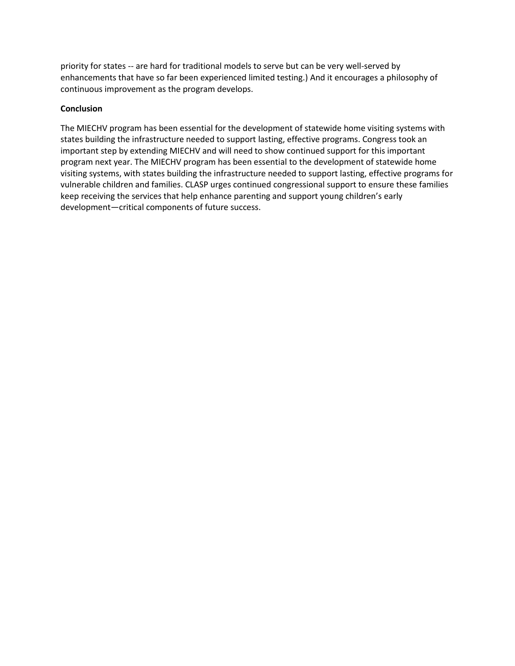priority for states -- are hard for traditional models to serve but can be very well-served by enhancements that have so far been experienced limited testing.) And it encourages a philosophy of continuous improvement as the program develops.

## **Conclusion**

The MIECHV program has been essential for the development of statewide home visiting systems with states building the infrastructure needed to support lasting, effective programs. Congress took an important step by extending MIECHV and will need to show continued support for this important program next year. The MIECHV program has been essential to the development of statewide home visiting systems, with states building the infrastructure needed to support lasting, effective programs for vulnerable children and families. CLASP urges continued congressional support to ensure these families keep receiving the services that help enhance parenting and support young children's early development—critical components of future success.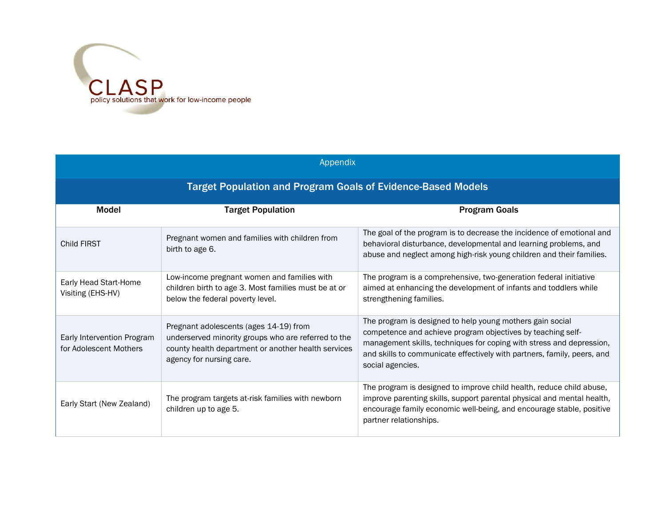

| Appendix                                                            |                                                                                                                                                                                  |                                                                                                                                                                                                                                                                                                 |  |  |
|---------------------------------------------------------------------|----------------------------------------------------------------------------------------------------------------------------------------------------------------------------------|-------------------------------------------------------------------------------------------------------------------------------------------------------------------------------------------------------------------------------------------------------------------------------------------------|--|--|
| <b>Target Population and Program Goals of Evidence-Based Models</b> |                                                                                                                                                                                  |                                                                                                                                                                                                                                                                                                 |  |  |
| <b>Model</b>                                                        | <b>Target Population</b>                                                                                                                                                         | <b>Program Goals</b>                                                                                                                                                                                                                                                                            |  |  |
| Child FIRST                                                         | Pregnant women and families with children from<br>birth to age 6.                                                                                                                | The goal of the program is to decrease the incidence of emotional and<br>behavioral disturbance, developmental and learning problems, and<br>abuse and neglect among high-risk young children and their families.                                                                               |  |  |
| Early Head Start-Home<br>Visiting (EHS-HV)                          | Low-income pregnant women and families with<br>children birth to age 3. Most families must be at or<br>below the federal poverty level.                                          | The program is a comprehensive, two-generation federal initiative<br>aimed at enhancing the development of infants and toddlers while<br>strengthening families.                                                                                                                                |  |  |
| Early Intervention Program<br>for Adolescent Mothers                | Pregnant adolescents (ages 14-19) from<br>underserved minority groups who are referred to the<br>county health department or another health services<br>agency for nursing care. | The program is designed to help young mothers gain social<br>competence and achieve program objectives by teaching self-<br>management skills, techniques for coping with stress and depression,<br>and skills to communicate effectively with partners, family, peers, and<br>social agencies. |  |  |
| Early Start (New Zealand)                                           | The program targets at-risk families with newborn<br>children up to age 5.                                                                                                       | The program is designed to improve child health, reduce child abuse,<br>improve parenting skills, support parental physical and mental health,<br>encourage family economic well-being, and encourage stable, positive<br>partner relationships.                                                |  |  |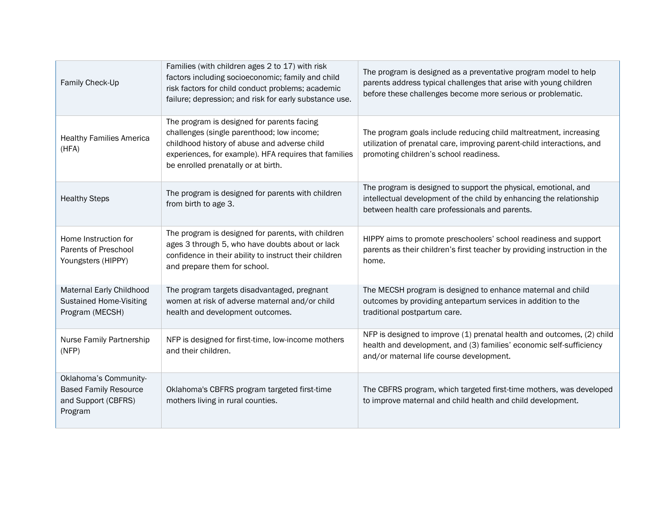| Family Check-Up                                                                         | Families (with children ages 2 to 17) with risk<br>factors including socioeconomic; family and child<br>risk factors for child conduct problems; academic<br>failure; depression; and risk for early substance use.                      | The program is designed as a preventative program model to help<br>parents address typical challenges that arise with young children<br>before these challenges become more serious or problematic. |
|-----------------------------------------------------------------------------------------|------------------------------------------------------------------------------------------------------------------------------------------------------------------------------------------------------------------------------------------|-----------------------------------------------------------------------------------------------------------------------------------------------------------------------------------------------------|
| <b>Healthy Families America</b><br>(HFA)                                                | The program is designed for parents facing<br>challenges (single parenthood; low income;<br>childhood history of abuse and adverse child<br>experiences, for example). HFA requires that families<br>be enrolled prenatally or at birth. | The program goals include reducing child maltreatment, increasing<br>utilization of prenatal care, improving parent-child interactions, and<br>promoting children's school readiness.               |
| <b>Healthy Steps</b>                                                                    | The program is designed for parents with children<br>from birth to age 3.                                                                                                                                                                | The program is designed to support the physical, emotional, and<br>intellectual development of the child by enhancing the relationship<br>between health care professionals and parents.            |
| Home Instruction for<br>Parents of Preschool<br>Youngsters (HIPPY)                      | The program is designed for parents, with children<br>ages 3 through 5, who have doubts about or lack<br>confidence in their ability to instruct their children<br>and prepare them for school.                                          | HIPPY aims to promote preschoolers' school readiness and support<br>parents as their children's first teacher by providing instruction in the<br>home.                                              |
| Maternal Early Childhood<br><b>Sustained Home-Visiting</b><br>Program (MECSH)           | The program targets disadvantaged, pregnant<br>women at risk of adverse maternal and/or child<br>health and development outcomes.                                                                                                        | The MECSH program is designed to enhance maternal and child<br>outcomes by providing antepartum services in addition to the<br>traditional postpartum care.                                         |
| Nurse Family Partnership<br>(NFP)                                                       | NFP is designed for first-time, low-income mothers<br>and their children.                                                                                                                                                                | NFP is designed to improve (1) prenatal health and outcomes, (2) child<br>health and development, and (3) families' economic self-sufficiency<br>and/or maternal life course development.           |
| Oklahoma's Community-<br><b>Based Family Resource</b><br>and Support (CBFRS)<br>Program | Oklahoma's CBFRS program targeted first-time<br>mothers living in rural counties.                                                                                                                                                        | The CBFRS program, which targeted first-time mothers, was developed<br>to improve maternal and child health and child development.                                                                  |